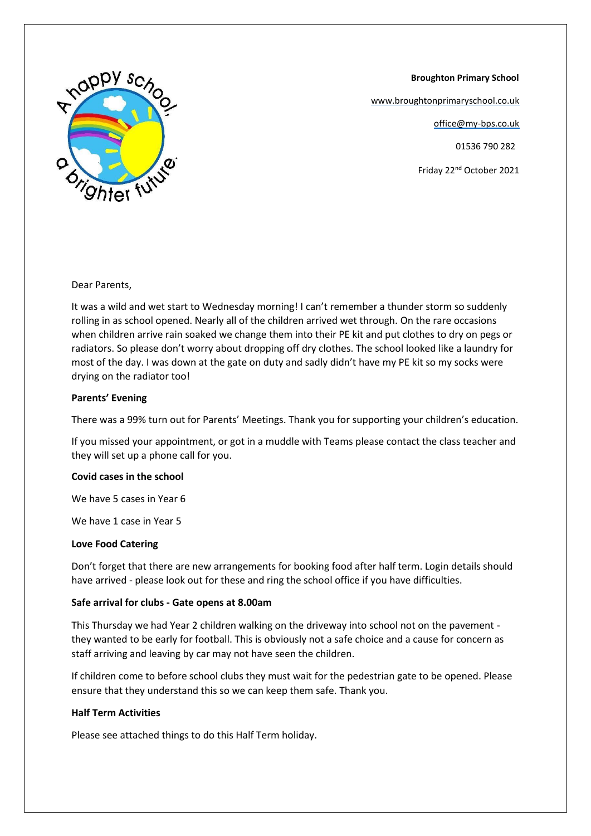

 **Broughton Primary School**

[www.broughtonprimaryschool.co.uk](http://www.broughtonprimaryschool.co.uk/)

office@my-bps.co.uk

01536 790 282

Friday 22nd October 2021

Dear Parents,

It was a wild and wet start to Wednesday morning! I can't remember a thunder storm so suddenly rolling in as school opened. Nearly all of the children arrived wet through. On the rare occasions when children arrive rain soaked we change them into their PE kit and put clothes to dry on pegs or radiators. So please don't worry about dropping off dry clothes. The school looked like a laundry for most of the day. I was down at the gate on duty and sadly didn't have my PE kit so my socks were drying on the radiator too!

## **Parents' Evening**

There was a 99% turn out for Parents' Meetings. Thank you for supporting your children's education.

If you missed your appointment, or got in a muddle with Teams please contact the class teacher and they will set up a phone call for you.

## **Covid cases in the school**

We have 5 cases in Year 6

We have 1 case in Year 5

#### **Love Food Catering**

Don't forget that there are new arrangements for booking food after half term. Login details should have arrived - please look out for these and ring the school office if you have difficulties.

## **Safe arrival for clubs - Gate opens at 8.00am**

This Thursday we had Year 2 children walking on the driveway into school not on the pavement they wanted to be early for football. This is obviously not a safe choice and a cause for concern as staff arriving and leaving by car may not have seen the children.

If children come to before school clubs they must wait for the pedestrian gate to be opened. Please ensure that they understand this so we can keep them safe. Thank you.

## **Half Term Activities**

Please see attached things to do this Half Term holiday.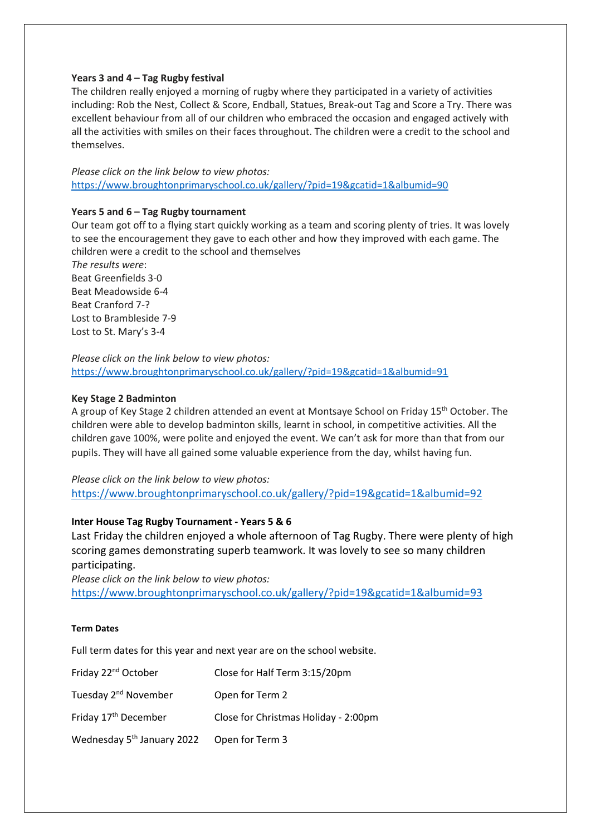## **Years 3 and 4 – Tag Rugby festival**

The children really enjoyed a morning of rugby where they participated in a variety of activities including: Rob the Nest, Collect & Score, Endball, Statues, Break-out Tag and Score a Try. There was excellent behaviour from all of our children who embraced the occasion and engaged actively with all the activities with smiles on their faces throughout. The children were a credit to the school and themselves.

*Please click on the link below to view photos:* <https://www.broughtonprimaryschool.co.uk/gallery/?pid=19&gcatid=1&albumid=90>

## **Years 5 and 6 – Tag Rugby tournament**

Our team got off to a flying start quickly working as a team and scoring plenty of tries. It was lovely to see the encouragement they gave to each other and how they improved with each game. The children were a credit to the school and themselves

*The results were*: Beat Greenfields 3-0 Beat Meadowside 6-4 Beat Cranford 7-? Lost to Brambleside 7-9 Lost to St. Mary's 3-4

*Please click on the link below to view photos:* <https://www.broughtonprimaryschool.co.uk/gallery/?pid=19&gcatid=1&albumid=91>

## **Key Stage 2 Badminton**

A group of Key Stage 2 children attended an event at Montsaye School on Friday 15<sup>th</sup> October. The children were able to develop badminton skills, learnt in school, in competitive activities. All the children gave 100%, were polite and enjoyed the event. We can't ask for more than that from our pupils. They will have all gained some valuable experience from the day, whilst having fun.

*Please click on the link below to view photos:* <https://www.broughtonprimaryschool.co.uk/gallery/?pid=19&gcatid=1&albumid=92>

# **Inter House Tag Rugby Tournament - Years 5 & 6**

Last Friday the children enjoyed a whole afternoon of Tag Rugby. There were plenty of high scoring games demonstrating superb teamwork. It was lovely to see so many children participating.

*Please click on the link below to view photos:* <https://www.broughtonprimaryschool.co.uk/gallery/?pid=19&gcatid=1&albumid=93>

## **Term Dates**

Full term dates for this year and next year are on the school website.

| Friday 22 <sup>nd</sup> October        | Close for Half Term 3:15/20pm        |
|----------------------------------------|--------------------------------------|
| Tuesday 2 <sup>nd</sup> November       | Open for Term 2                      |
| Friday 17 <sup>th</sup> December       | Close for Christmas Holiday - 2:00pm |
| Wednesday 5 <sup>th</sup> January 2022 | Open for Term 3                      |